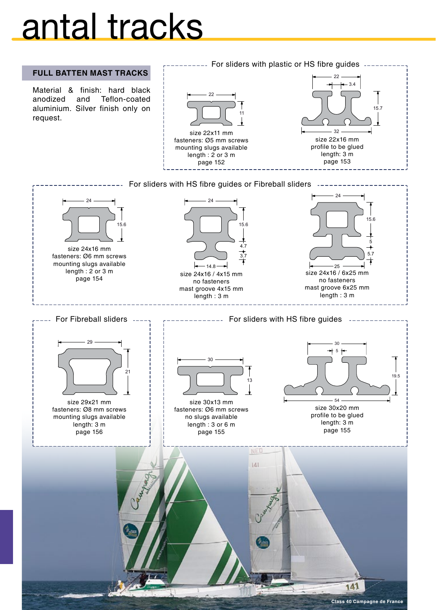## antal tracks

## **FULL BATTEN MAST TRACKS**

Material & finish: hard black<br>anodized and Teflon-coated anodized and aluminium. Silver finish only on request.





141